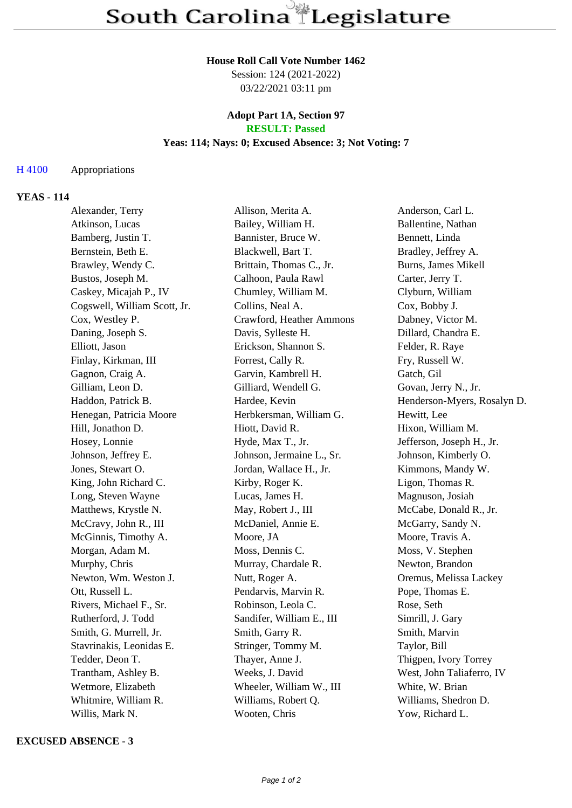#### **House Roll Call Vote Number 1462**

Session: 124 (2021-2022) 03/22/2021 03:11 pm

### **Adopt Part 1A, Section 97 RESULT: Passed**

# **Yeas: 114; Nays: 0; Excused Absence: 3; Not Voting: 7**

### H 4100 Appropriations

# **YEAS - 114**

| Alexander, Terry             | Allison, Merita A.        | Anderson, Carl L.           |
|------------------------------|---------------------------|-----------------------------|
| Atkinson, Lucas              | Bailey, William H.        | Ballentine, Nathan          |
| Bamberg, Justin T.           | Bannister, Bruce W.       | Bennett, Linda              |
| Bernstein, Beth E.           | Blackwell, Bart T.        | Bradley, Jeffrey A.         |
| Brawley, Wendy C.            | Brittain, Thomas C., Jr.  | Burns, James Mikell         |
| Bustos, Joseph M.            | Calhoon, Paula Rawl       | Carter, Jerry T.            |
| Caskey, Micajah P., IV       | Chumley, William M.       | Clyburn, William            |
| Cogswell, William Scott, Jr. | Collins, Neal A.          | Cox, Bobby J.               |
| Cox, Westley P.              | Crawford, Heather Ammons  | Dabney, Victor M.           |
| Daning, Joseph S.            | Davis, Sylleste H.        | Dillard, Chandra E.         |
| Elliott, Jason               | Erickson, Shannon S.      | Felder, R. Raye             |
| Finlay, Kirkman, III         | Forrest, Cally R.         | Fry, Russell W.             |
| Gagnon, Craig A.             | Garvin, Kambrell H.       | Gatch, Gil                  |
| Gilliam, Leon D.             | Gilliard, Wendell G.      | Govan, Jerry N., Jr.        |
| Haddon, Patrick B.           | Hardee, Kevin             | Henderson-Myers, Rosalyn D. |
| Henegan, Patricia Moore      | Herbkersman, William G.   | Hewitt, Lee                 |
| Hill, Jonathon D.            | Hiott, David R.           | Hixon, William M.           |
| Hosey, Lonnie                | Hyde, Max T., Jr.         | Jefferson, Joseph H., Jr.   |
| Johnson, Jeffrey E.          | Johnson, Jermaine L., Sr. | Johnson, Kimberly O.        |
| Jones, Stewart O.            | Jordan, Wallace H., Jr.   | Kimmons, Mandy W.           |
| King, John Richard C.        | Kirby, Roger K.           | Ligon, Thomas R.            |
| Long, Steven Wayne           | Lucas, James H.           | Magnuson, Josiah            |
| Matthews, Krystle N.         | May, Robert J., III       | McCabe, Donald R., Jr.      |
| McCravy, John R., III        | McDaniel, Annie E.        | McGarry, Sandy N.           |
| McGinnis, Timothy A.         | Moore, JA                 | Moore, Travis A.            |
| Morgan, Adam M.              | Moss, Dennis C.           | Moss, V. Stephen            |
| Murphy, Chris                | Murray, Chardale R.       | Newton, Brandon             |
| Newton, Wm. Weston J.        | Nutt, Roger A.            | Oremus, Melissa Lackey      |
| Ott, Russell L.              | Pendarvis, Marvin R.      | Pope, Thomas E.             |
| Rivers, Michael F., Sr.      | Robinson, Leola C.        | Rose, Seth                  |
| Rutherford, J. Todd          | Sandifer, William E., III | Simrill, J. Gary            |
| Smith, G. Murrell, Jr.       | Smith, Garry R.           | Smith, Marvin               |
| Stavrinakis, Leonidas E.     | Stringer, Tommy M.        | Taylor, Bill                |
| Tedder, Deon T.              | Thayer, Anne J.           | Thigpen, Ivory Torrey       |
| Trantham, Ashley B.          | Weeks, J. David           | West, John Taliaferro, IV   |
| Wetmore, Elizabeth           | Wheeler, William W., III  | White, W. Brian             |
| Whitmire, William R.         | Williams, Robert Q.       | Williams, Shedron D.        |
| Willis, Mark N.              | Wooten, Chris             | Yow, Richard L.             |

#### **EXCUSED ABSENCE - 3**